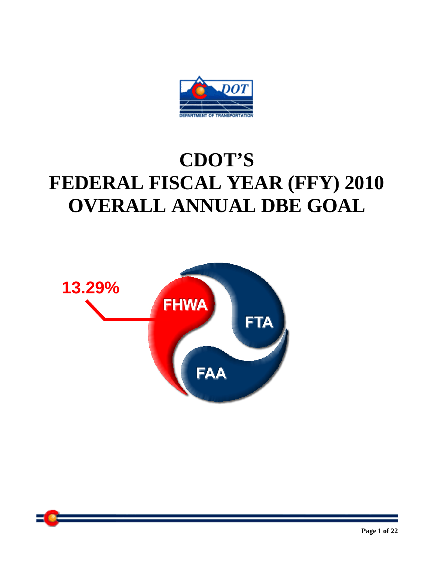

# **CDOT'S FEDERAL FISCAL YEAR (FFY) 2010 OVERALL ANNUAL DBE GOAL**

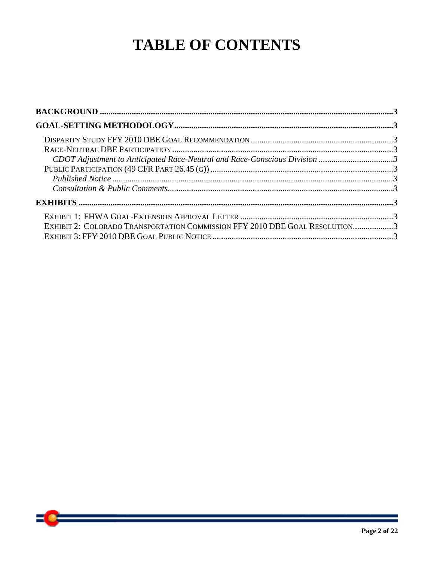## **TABLE OF CONTENTS**

| CDOT Adjustment to Anticipated Race-Neutral and Race-Conscious Division 3   |  |
|-----------------------------------------------------------------------------|--|
|                                                                             |  |
|                                                                             |  |
|                                                                             |  |
|                                                                             |  |
|                                                                             |  |
| EXHIBIT 2: COLORADO TRANSPORTATION COMMISSION FFY 2010 DBE GOAL RESOLUTION3 |  |
|                                                                             |  |

 $\bullet$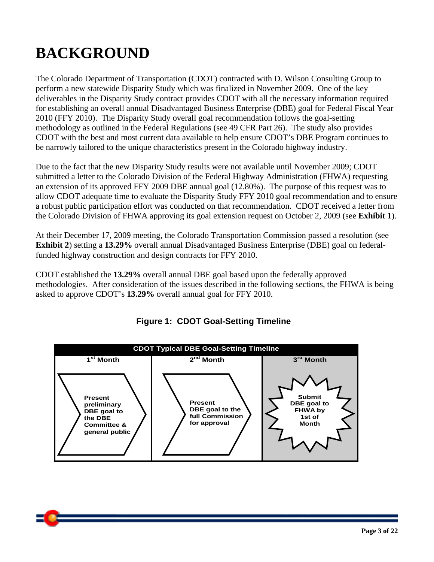## **BACKGROUND**

The Colorado Department of Transportation (CDOT) contracted with D. Wilson Consulting Group to perform a new statewide Disparity Study which was finalized in November 2009. One of the key deliverables in the Disparity Study contract provides CDOT with all the necessary information required for establishing an overall annual Disadvantaged Business Enterprise (DBE) goal for Federal Fiscal Year 2010 (FFY 2010). The Disparity Study overall goal recommendation follows the goal-setting methodology as outlined in the Federal Regulations (see 49 CFR Part 26). The study also provides CDOT with the best and most current data available to help ensure CDOT's DBE Program continues to be narrowly tailored to the unique characteristics present in the Colorado highway industry.

Due to the fact that the new Disparity Study results were not available until November 2009; CDOT submitted a letter to the Colorado Division of the Federal Highway Administration (FHWA) requesting an extension of its approved FFY 2009 DBE annual goal (12.80%). The purpose of this request was to allow CDOT adequate time to evaluate the Disparity Study FFY 2010 goal recommendation and to ensure a robust public participation effort was conducted on that recommendation. CDOT received a letter from the Colorado Division of FHWA approving its goal extension request on October 2, 2009 (see **Exhibit 1**).

At their December 17, 2009 meeting, the Colorado Transportation Commission passed a resolution (see **Exhibit 2**) setting a **13.29%** overall annual Disadvantaged Business Enterprise (DBE) goal on federalfunded highway construction and design contracts for FFY 2010.

CDOT established the **13.29%** overall annual DBE goal based upon the federally approved methodologies. After consideration of the issues described in the following sections, the FHWA is being asked to approve CDOT's **13.29%** overall annual goal for FFY 2010.



**Figure 1: CDOT Goal-Setting Timeline** 

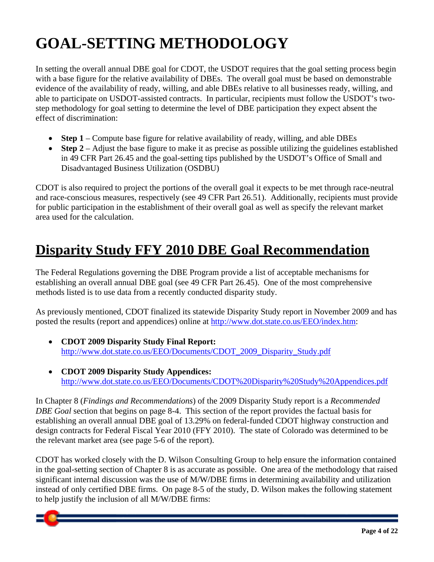# **GOAL-SETTING METHODOLOGY**

In setting the overall annual DBE goal for CDOT, the USDOT requires that the goal setting process begin with a base figure for the relative availability of DBEs. The overall goal must be based on demonstrable evidence of the availability of ready, willing, and able DBEs relative to all businesses ready, willing, and able to participate on USDOT-assisted contracts. In particular, recipients must follow the USDOT's twostep methodology for goal setting to determine the level of DBE participation they expect absent the effect of discrimination:

- **Step 1** Compute base figure for relative availability of ready, willing, and able DBEs
- **Step 2** Adjust the base figure to make it as precise as possible utilizing the guidelines established in 49 CFR Part 26.45 and the goal-setting tips published by the USDOT's Office of Small and Disadvantaged Business Utilization (OSDBU)

CDOT is also required to project the portions of the overall goal it expects to be met through race-neutral and race-conscious measures, respectively (see 49 CFR Part 26.51). Additionally, recipients must provide for public participation in the establishment of their overall goal as well as specify the relevant market area used for the calculation.

## **Disparity Study FFY 2010 DBE Goal Recommendation**

The Federal Regulations governing the DBE Program provide a list of acceptable mechanisms for establishing an overall annual DBE goal (see 49 CFR Part 26.45). One of the most comprehensive methods listed is to use data from a recently conducted disparity study.

As previously mentioned, CDOT finalized its statewide Disparity Study report in November 2009 and has posted the results (report and appendices) online at http://www.dot.state.co.us/EEO/index.htm:

- **CDOT 2009 Disparity Study Final Report:** http://www.dot.state.co.us/EEO/Documents/CDOT\_2009\_Disparity\_Study.pdf
- **CDOT 2009 Disparity Study Appendices:**  http://www.dot.state.co.us/EEO/Documents/CDOT%20Disparity%20Study%20Appendices.pdf

In Chapter 8 (*Findings and Recommendations*) of the 2009 Disparity Study report is a *Recommended DBE Goal* section that begins on page 8-4. This section of the report provides the factual basis for establishing an overall annual DBE goal of 13.29% on federal-funded CDOT highway construction and design contracts for Federal Fiscal Year 2010 (FFY 2010). The state of Colorado was determined to be the relevant market area (see page 5-6 of the report).

CDOT has worked closely with the D. Wilson Consulting Group to help ensure the information contained in the goal-setting section of Chapter 8 is as accurate as possible. One area of the methodology that raised significant internal discussion was the use of M/W/DBE firms in determining availability and utilization instead of only certified DBE firms. On page 8-5 of the study, D. Wilson makes the following statement to help justify the inclusion of all M/W/DBE firms:

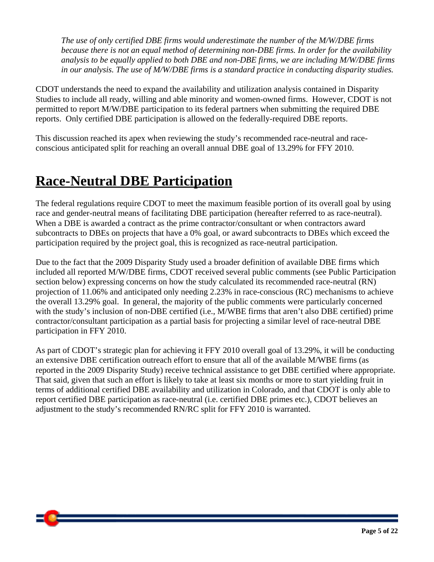*The use of only certified DBE firms would underestimate the number of the M/W/DBE firms because there is not an equal method of determining non-DBE firms. In order for the availability analysis to be equally applied to both DBE and non-DBE firms, we are including M/W/DBE firms in our analysis. The use of M/W/DBE firms is a standard practice in conducting disparity studies.* 

CDOT understands the need to expand the availability and utilization analysis contained in Disparity Studies to include all ready, willing and able minority and women-owned firms. However, CDOT is not permitted to report M/W/DBE participation to its federal partners when submitting the required DBE reports. Only certified DBE participation is allowed on the federally-required DBE reports.

This discussion reached its apex when reviewing the study's recommended race-neutral and raceconscious anticipated split for reaching an overall annual DBE goal of 13.29% for FFY 2010.

## **Race-Neutral DBE Participation**

The federal regulations require CDOT to meet the maximum feasible portion of its overall goal by using race and gender-neutral means of facilitating DBE participation (hereafter referred to as race-neutral). When a DBE is awarded a contract as the prime contractor/consultant or when contractors award subcontracts to DBEs on projects that have a 0% goal, or award subcontracts to DBEs which exceed the participation required by the project goal, this is recognized as race-neutral participation.

Due to the fact that the 2009 Disparity Study used a broader definition of available DBE firms which included all reported M/W/DBE firms, CDOT received several public comments (see Public Participation section below) expressing concerns on how the study calculated its recommended race-neutral (RN) projection of 11.06% and anticipated only needing 2.23% in race-conscious (RC) mechanisms to achieve the overall 13.29% goal. In general, the majority of the public comments were particularly concerned with the study's inclusion of non-DBE certified (i.e., M/WBE firms that aren't also DBE certified) prime contractor/consultant participation as a partial basis for projecting a similar level of race-neutral DBE participation in FFY 2010.

As part of CDOT's strategic plan for achieving it FFY 2010 overall goal of 13.29%, it will be conducting an extensive DBE certification outreach effort to ensure that all of the available M/WBE firms (as reported in the 2009 Disparity Study) receive technical assistance to get DBE certified where appropriate. That said, given that such an effort is likely to take at least six months or more to start yielding fruit in terms of additional certified DBE availability and utilization in Colorado, and that CDOT is only able to report certified DBE participation as race-neutral (i.e. certified DBE primes etc.), CDOT believes an adjustment to the study's recommended RN/RC split for FFY 2010 is warranted.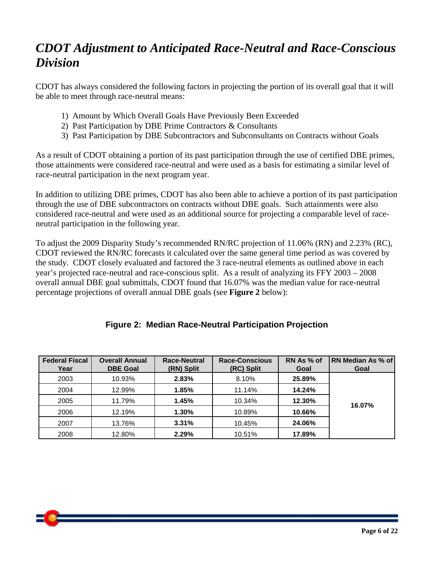## *CDOT Adjustment to Anticipated Race-Neutral and Race-Conscious Division*

CDOT has always considered the following factors in projecting the portion of its overall goal that it will be able to meet through race-neutral means:

- 1) Amount by Which Overall Goals Have Previously Been Exceeded
- 2) Past Participation by DBE Prime Contractors & Consultants
- 3) Past Participation by DBE Subcontractors and Subconsultants on Contracts without Goals

As a result of CDOT obtaining a portion of its past participation through the use of certified DBE primes, those attainments were considered race-neutral and were used as a basis for estimating a similar level of race-neutral participation in the next program year.

In addition to utilizing DBE primes, CDOT has also been able to achieve a portion of its past participation through the use of DBE subcontractors on contracts without DBE goals. Such attainments were also considered race-neutral and were used as an additional source for projecting a comparable level of raceneutral participation in the following year.

To adjust the 2009 Disparity Study's recommended RN/RC projection of 11.06% (RN) and 2.23% (RC), CDOT reviewed the RN/RC forecasts it calculated over the same general time period as was covered by the study. CDOT closely evaluated and factored the 3 race-neutral elements as outlined above in each year's projected race-neutral and race-conscious split. As a result of analyzing its FFY 2003 – 2008 overall annual DBE goal submittals, CDOT found that 16.07% was the median value for race-neutral percentage projections of overall annual DBE goals (see **Figure 2** below):

| <b>Federal Fiscal</b><br>Year | <b>Overall Annual</b><br><b>DBE Goal</b> | Race-Neutral<br>(RN) Split | Race-Conscious<br>(RC) Split | RN As % of<br>Goal | RN Median As % of<br>Goal |
|-------------------------------|------------------------------------------|----------------------------|------------------------------|--------------------|---------------------------|
| 2003                          | 10.93%                                   | 2.83%                      | 8.10%                        | 25.89%             |                           |
| 2004                          | 12.99%                                   | 1.85%                      | 11.14%                       | 14.24%             |                           |
| 2005                          | 11.79%                                   | 1.45%                      | 10.34%                       | 12.30%             | 16.07%                    |
| 2006                          | 12.19%                                   | 1.30%                      | 10.89%                       | 10.66%             |                           |
| 2007                          | 13.76%                                   | 3.31%                      | 10.45%                       | 24.06%             |                           |
| 2008                          | 12.80%                                   | 2.29%                      | 10.51%                       | 17.89%             |                           |

#### **Figure 2: Median Race-Neutral Participation Projection**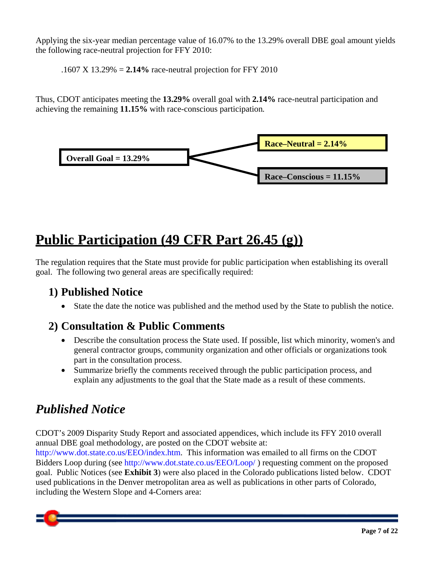Applying the six-year median percentage value of 16.07% to the 13.29% overall DBE goal amount yields the following race-neutral projection for FFY 2010:

.1607 X 13.29% = **2.14%** race-neutral projection for FFY 2010

Thus, CDOT anticipates meeting the **13.29%** overall goal with **2.14%** race-neutral participation and achieving the remaining **11.15%** with race-conscious participation*.*



## **Public Participation (49 CFR Part 26.45 (g))**

The regulation requires that the State must provide for public participation when establishing its overall goal. The following two general areas are specifically required:

### **1) Published Notice**

• State the date the notice was published and the method used by the State to publish the notice.

### **2) Consultation & Public Comments**

- Describe the consultation process the State used. If possible, list which minority, women's and general contractor groups, community organization and other officials or organizations took part in the consultation process.
- Summarize briefly the comments received through the public participation process, and explain any adjustments to the goal that the State made as a result of these comments.

## *Published Notice*

CDOT's 2009 Disparity Study Report and associated appendices, which include its FFY 2010 overall annual DBE goal methodology, are posted on the CDOT website at:

http://www.dot.state.co.us/EEO/index.htm. This information was emailed to all firms on the CDOT Bidders Loop during (see http://www.dot.state.co.us/EEO/Loop/ ) requesting comment on the proposed goal. Public Notices (see **Exhibit 3**) were also placed in the Colorado publications listed below. CDOT used publications in the Denver metropolitan area as well as publications in other parts of Colorado, including the Western Slope and 4-Corners area: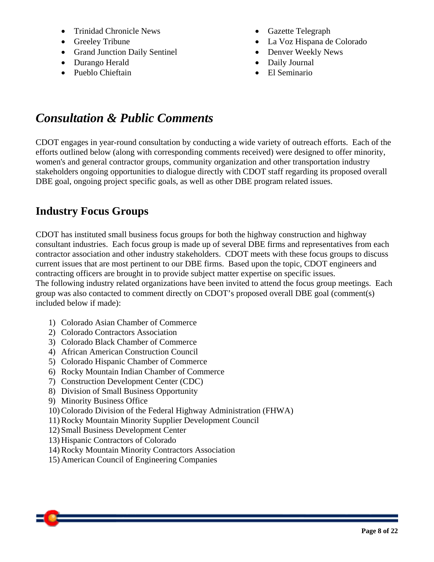- Trinidad Chronicle News
- Greeley Tribune
- Grand Junction Daily Sentinel
- Durango Herald
- Pueblo Chieftain
- Gazette Telegraph
- La Voz Hispana de Colorado
- Denver Weekly News
- Daily Journal
- El Seminario

## *Consultation & Public Comments*

CDOT engages in year-round consultation by conducting a wide variety of outreach efforts. Each of the efforts outlined below (along with corresponding comments received) were designed to offer minority, women's and general contractor groups, community organization and other transportation industry stakeholders ongoing opportunities to dialogue directly with CDOT staff regarding its proposed overall DBE goal, ongoing project specific goals, as well as other DBE program related issues.

### **Industry Focus Groups**

CDOT has instituted small business focus groups for both the highway construction and highway consultant industries. Each focus group is made up of several DBE firms and representatives from each contractor association and other industry stakeholders. CDOT meets with these focus groups to discuss current issues that are most pertinent to our DBE firms. Based upon the topic, CDOT engineers and contracting officers are brought in to provide subject matter expertise on specific issues. The following industry related organizations have been invited to attend the focus group meetings. Each group was also contacted to comment directly on CDOT's proposed overall DBE goal (comment(s) included below if made):

- 1) Colorado Asian Chamber of Commerce
- 2) Colorado Contractors Association
- 3) Colorado Black Chamber of Commerce
- 4) African American Construction Council
- 5) Colorado Hispanic Chamber of Commerce
- 6) Rocky Mountain Indian Chamber of Commerce
- 7) Construction Development Center (CDC)
- 8) Division of Small Business Opportunity
- 9) Minority Business Office
- 10) Colorado Division of the Federal Highway Administration (FHWA)
- 11) Rocky Mountain Minority Supplier Development Council
- 12) Small Business Development Center
- 13) Hispanic Contractors of Colorado
- 14) Rocky Mountain Minority Contractors Association
- 15) American Council of Engineering Companies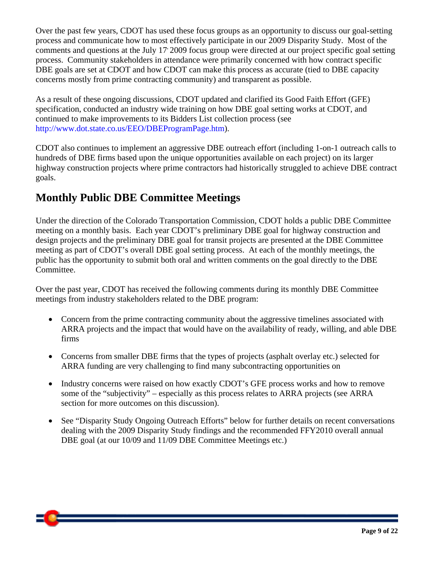Over the past few years, CDOT has used these focus groups as an opportunity to discuss our goal-setting process and communicate how to most effectively participate in our 2009 Disparity Study. Most of the comments and questions at the July 17 2009 focus group were directed at our project specific goal setting process. Community stakeholders in attendance were primarily concerned with how contract specific DBE goals are set at CDOT and how CDOT can make this process as accurate (tied to DBE capacity concerns mostly from prime contracting community) and transparent as possible.

As a result of these ongoing discussions, CDOT updated and clarified its Good Faith Effort (GFE) specification, conducted an industry wide training on how DBE goal setting works at CDOT, and continued to make improvements to its Bidders List collection process (see http://www.dot.state.co.us/EEO/DBEProgramPage.htm).

CDOT also continues to implement an aggressive DBE outreach effort (including 1-on-1 outreach calls to hundreds of DBE firms based upon the unique opportunities available on each project) on its larger highway construction projects where prime contractors had historically struggled to achieve DBE contract goals.

### **Monthly Public DBE Committee Meetings**

Under the direction of the Colorado Transportation Commission, CDOT holds a public DBE Committee meeting on a monthly basis. Each year CDOT's preliminary DBE goal for highway construction and design projects and the preliminary DBE goal for transit projects are presented at the DBE Committee meeting as part of CDOT's overall DBE goal setting process. At each of the monthly meetings, the public has the opportunity to submit both oral and written comments on the goal directly to the DBE Committee.

Over the past year, CDOT has received the following comments during its monthly DBE Committee meetings from industry stakeholders related to the DBE program:

- Concern from the prime contracting community about the aggressive timelines associated with ARRA projects and the impact that would have on the availability of ready, willing, and able DBE firms
- Concerns from smaller DBE firms that the types of projects (asphalt overlay etc.) selected for ARRA funding are very challenging to find many subcontracting opportunities on
- Industry concerns were raised on how exactly CDOT's GFE process works and how to remove some of the "subjectivity" – especially as this process relates to ARRA projects (see ARRA section for more outcomes on this discussion).
- See "Disparity Study Ongoing Outreach Efforts" below for further details on recent conversations dealing with the 2009 Disparity Study findings and the recommended FFY2010 overall annual DBE goal (at our 10/09 and 11/09 DBE Committee Meetings etc.)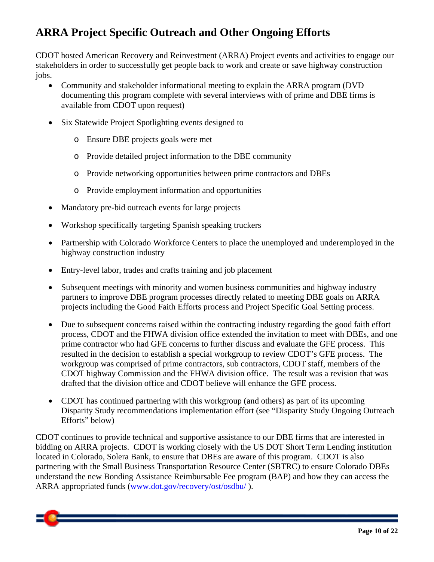## **ARRA Project Specific Outreach and Other Ongoing Efforts**

CDOT hosted American Recovery and Reinvestment (ARRA) Project events and activities to engage our stakeholders in order to successfully get people back to work and create or save highway construction jobs.

- Community and stakeholder informational meeting to explain the ARRA program (DVD documenting this program complete with several interviews with of prime and DBE firms is available from CDOT upon request)
- Six Statewide Project Spotlighting events designed to
	- o Ensure DBE projects goals were met
	- o Provide detailed project information to the DBE community
	- o Provide networking opportunities between prime contractors and DBEs
	- o Provide employment information and opportunities
- Mandatory pre-bid outreach events for large projects
- Workshop specifically targeting Spanish speaking truckers
- Partnership with Colorado Workforce Centers to place the unemployed and underemployed in the highway construction industry
- Entry-level labor, trades and crafts training and job placement
- Subsequent meetings with minority and women business communities and highway industry partners to improve DBE program processes directly related to meeting DBE goals on ARRA projects including the Good Faith Efforts process and Project Specific Goal Setting process.
- Due to subsequent concerns raised within the contracting industry regarding the good faith effort process, CDOT and the FHWA division office extended the invitation to meet with DBEs, and one prime contractor who had GFE concerns to further discuss and evaluate the GFE process. This resulted in the decision to establish a special workgroup to review CDOT's GFE process. The workgroup was comprised of prime contractors, sub contractors, CDOT staff, members of the CDOT highway Commission and the FHWA division office. The result was a revision that was drafted that the division office and CDOT believe will enhance the GFE process.
- CDOT has continued partnering with this workgroup (and others) as part of its upcoming Disparity Study recommendations implementation effort (see "Disparity Study Ongoing Outreach Efforts" below)

CDOT continues to provide technical and supportive assistance to our DBE firms that are interested in bidding on ARRA projects. CDOT is working closely with the US DOT Short Term Lending institution located in Colorado, Solera Bank, to ensure that DBEs are aware of this program. CDOT is also partnering with the Small Business Transportation Resource Center (SBTRC) to ensure Colorado DBEs understand the new Bonding Assistance Reimbursable Fee program (BAP) and how they can access the ARRA appropriated funds (www.dot.gov/recovery/ost/osdbu/ ).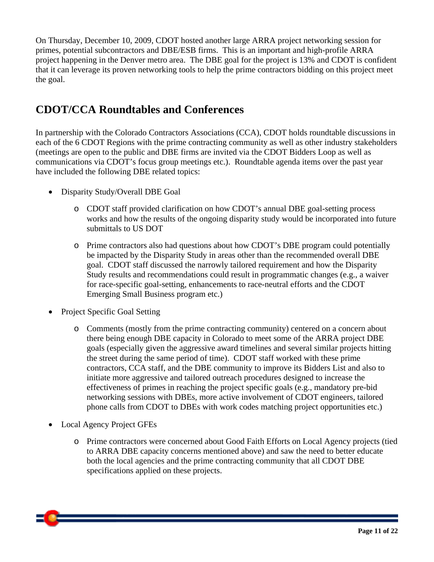On Thursday, December 10, 2009, CDOT hosted another large ARRA project networking session for primes, potential subcontractors and DBE/ESB firms. This is an important and high-profile ARRA project happening in the Denver metro area. The DBE goal for the project is 13% and CDOT is confident that it can leverage its proven networking tools to help the prime contractors bidding on this project meet the goal.

### **CDOT/CCA Roundtables and Conferences**

In partnership with the Colorado Contractors Associations (CCA), CDOT holds roundtable discussions in each of the 6 CDOT Regions with the prime contracting community as well as other industry stakeholders (meetings are open to the public and DBE firms are invited via the CDOT Bidders Loop as well as communications via CDOT's focus group meetings etc.). Roundtable agenda items over the past year have included the following DBE related topics:

- Disparity Study/Overall DBE Goal
	- o CDOT staff provided clarification on how CDOT's annual DBE goal-setting process works and how the results of the ongoing disparity study would be incorporated into future submittals to US DOT
	- o Prime contractors also had questions about how CDOT's DBE program could potentially be impacted by the Disparity Study in areas other than the recommended overall DBE goal. CDOT staff discussed the narrowly tailored requirement and how the Disparity Study results and recommendations could result in programmatic changes (e.g., a waiver for race-specific goal-setting, enhancements to race-neutral efforts and the CDOT Emerging Small Business program etc.)
- Project Specific Goal Setting
	- o Comments (mostly from the prime contracting community) centered on a concern about there being enough DBE capacity in Colorado to meet some of the ARRA project DBE goals (especially given the aggressive award timelines and several similar projects hitting the street during the same period of time). CDOT staff worked with these prime contractors, CCA staff, and the DBE community to improve its Bidders List and also to initiate more aggressive and tailored outreach procedures designed to increase the effectiveness of primes in reaching the project specific goals (e.g., mandatory pre-bid networking sessions with DBEs, more active involvement of CDOT engineers, tailored phone calls from CDOT to DBEs with work codes matching project opportunities etc.)
- Local Agency Project GFEs
	- o Prime contractors were concerned about Good Faith Efforts on Local Agency projects (tied to ARRA DBE capacity concerns mentioned above) and saw the need to better educate both the local agencies and the prime contracting community that all CDOT DBE specifications applied on these projects.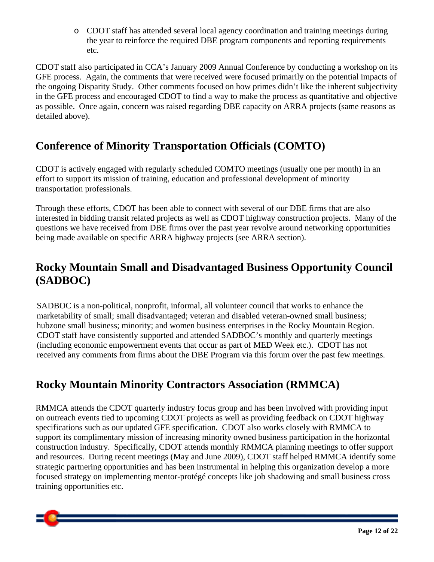o CDOT staff has attended several local agency coordination and training meetings during the year to reinforce the required DBE program components and reporting requirements etc.

CDOT staff also participated in CCA's January 2009 Annual Conference by conducting a workshop on its GFE process. Again, the comments that were received were focused primarily on the potential impacts of the ongoing Disparity Study. Other comments focused on how primes didn't like the inherent subjectivity in the GFE process and encouraged CDOT to find a way to make the process as quantitative and objective as possible. Once again, concern was raised regarding DBE capacity on ARRA projects (same reasons as detailed above).

### **Conference of Minority Transportation Officials (COMTO)**

CDOT is actively engaged with regularly scheduled COMTO meetings (usually one per month) in an effort to support its mission of training, education and professional development of minority transportation professionals.

Through these efforts, CDOT has been able to connect with several of our DBE firms that are also interested in bidding transit related projects as well as CDOT highway construction projects. Many of the questions we have received from DBE firms over the past year revolve around networking opportunities being made available on specific ARRA highway projects (see ARRA section).

### **Rocky Mountain Small and Disadvantaged Business Opportunity Council (SADBOC)**

SADBOC is a non-political, nonprofit, informal, all volunteer council that works to enhance the marketability of small; small disadvantaged; veteran and disabled veteran-owned small business; hubzone small business; minority; and women business enterprises in the Rocky Mountain Region. CDOT staff have consistently supported and attended SADBOC's monthly and quarterly meetings (including economic empowerment events that occur as part of MED Week etc.). CDOT has not received any comments from firms about the DBE Program via this forum over the past few meetings.

### **Rocky Mountain Minority Contractors Association (RMMCA)**

RMMCA attends the CDOT quarterly industry focus group and has been involved with providing input on outreach events tied to upcoming CDOT projects as well as providing feedback on CDOT highway specifications such as our updated GFE specification. CDOT also works closely with RMMCA to support its complimentary mission of increasing minority owned business participation in the horizontal construction industry. Specifically, CDOT attends monthly RMMCA planning meetings to offer support and resources. During recent meetings (May and June 2009), CDOT staff helped RMMCA identify some strategic partnering opportunities and has been instrumental in helping this organization develop a more focused strategy on implementing mentor-protégé concepts like job shadowing and small business cross training opportunities etc.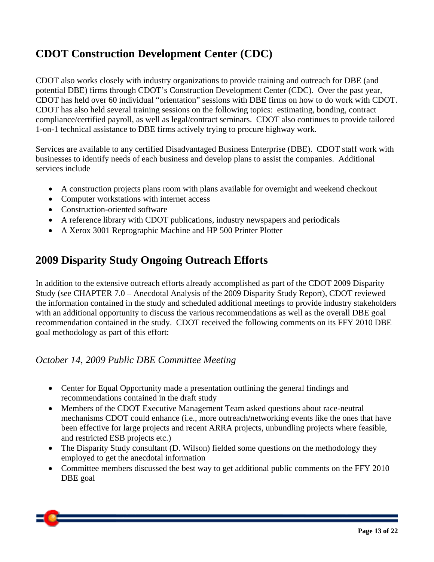### **CDOT Construction Development Center (CDC)**

CDOT also works closely with industry organizations to provide training and outreach for DBE (and potential DBE) firms through CDOT's Construction Development Center (CDC). Over the past year, CDOT has held over 60 individual "orientation" sessions with DBE firms on how to do work with CDOT. CDOT has also held several training sessions on the following topics: estimating, bonding, contract compliance/certified payroll, as well as legal/contract seminars. CDOT also continues to provide tailored 1-on-1 technical assistance to DBE firms actively trying to procure highway work.

Services are available to any certified Disadvantaged Business Enterprise (DBE). CDOT staff work with businesses to identify needs of each business and develop plans to assist the companies. Additional services include

- A construction projects plans room with plans available for overnight and weekend checkout
- Computer workstations with internet access
- Construction-oriented software
- A reference library with CDOT publications, industry newspapers and periodicals
- A Xerox 3001 Reprographic Machine and HP 500 Printer Plotter

### **2009 Disparity Study Ongoing Outreach Efforts**

In addition to the extensive outreach efforts already accomplished as part of the CDOT 2009 Disparity Study (see CHAPTER 7.0 – Anecdotal Analysis of the 2009 Disparity Study Report), CDOT reviewed the information contained in the study and scheduled additional meetings to provide industry stakeholders with an additional opportunity to discuss the various recommendations as well as the overall DBE goal recommendation contained in the study. CDOT received the following comments on its FFY 2010 DBE goal methodology as part of this effort:

#### *October 14, 2009 Public DBE Committee Meeting*

- Center for Equal Opportunity made a presentation outlining the general findings and recommendations contained in the draft study
- Members of the CDOT Executive Management Team asked questions about race-neutral mechanisms CDOT could enhance (i.e., more outreach/networking events like the ones that have been effective for large projects and recent ARRA projects, unbundling projects where feasible, and restricted ESB projects etc.)
- The Disparity Study consultant (D. Wilson) fielded some questions on the methodology they employed to get the anecdotal information
- Committee members discussed the best way to get additional public comments on the FFY 2010 DBE goal

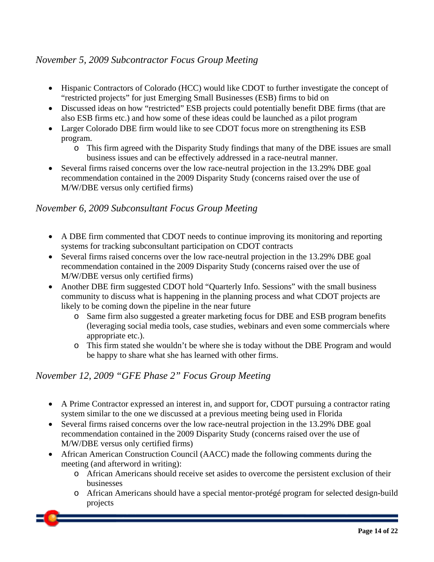#### *November 5, 2009 Subcontractor Focus Group Meeting*

- Hispanic Contractors of Colorado (HCC) would like CDOT to further investigate the concept of "restricted projects" for just Emerging Small Businesses (ESB) firms to bid on
- Discussed ideas on how "restricted" ESB projects could potentially benefit DBE firms (that are also ESB firms etc.) and how some of these ideas could be launched as a pilot program
- Larger Colorado DBE firm would like to see CDOT focus more on strengthening its ESB program.
	- o This firm agreed with the Disparity Study findings that many of the DBE issues are small business issues and can be effectively addressed in a race-neutral manner.
- Several firms raised concerns over the low race-neutral projection in the 13.29% DBE goal recommendation contained in the 2009 Disparity Study (concerns raised over the use of M/W/DBE versus only certified firms)

#### *November 6, 2009 Subconsultant Focus Group Meeting*

- A DBE firm commented that CDOT needs to continue improving its monitoring and reporting systems for tracking subconsultant participation on CDOT contracts
- Several firms raised concerns over the low race-neutral projection in the 13.29% DBE goal recommendation contained in the 2009 Disparity Study (concerns raised over the use of M/W/DBE versus only certified firms)
- Another DBE firm suggested CDOT hold "Quarterly Info. Sessions" with the small business community to discuss what is happening in the planning process and what CDOT projects are likely to be coming down the pipeline in the near future
	- o Same firm also suggested a greater marketing focus for DBE and ESB program benefits (leveraging social media tools, case studies, webinars and even some commercials where appropriate etc.).
	- o This firm stated she wouldn't be where she is today without the DBE Program and would be happy to share what she has learned with other firms.

#### *November 12, 2009 "GFE Phase 2" Focus Group Meeting*

- A Prime Contractor expressed an interest in, and support for, CDOT pursuing a contractor rating system similar to the one we discussed at a previous meeting being used in Florida
- Several firms raised concerns over the low race-neutral projection in the 13.29% DBE goal recommendation contained in the 2009 Disparity Study (concerns raised over the use of M/W/DBE versus only certified firms)
- African American Construction Council (AACC) made the following comments during the meeting (and afterword in writing):
	- o African Americans should receive set asides to overcome the persistent exclusion of their businesses
	- o African Americans should have a special mentor-protégé program for selected design-build projects

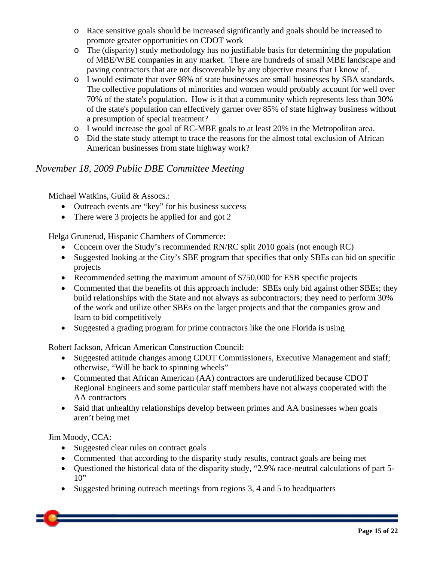- o Race sensitive goals should be increased significantly and goals should be increased to promote greater opportunities on CDOT work
- o The (disparity) study methodology has no justifiable basis for determining the population of MBE/WBE companies in any market. There are hundreds of small MBE landscape and paving contractors that are not discoverable by any objective means that I know of.
- o I would estimate that over 98% of state businesses are small businesses by SBA standards. The collective populations of minorities and women would probably account for well over 70% of the state's population. How is it that a community which represents less than 30% of the state's population can effectively garner over 85% of state highway business without a presumption of special treatment?
- o I would increase the goal of RC-MBE goals to at least 20% in the Metropolitan area.
- o Did the state study attempt to trace the reasons for the almost total exclusion of African American businesses from state highway work?

#### *November 18, 2009 Public DBE Committee Meeting*

Michael Watkins, Guild & Assocs.:

- Outreach events are "key" for his business success
- There were 3 projects he applied for and got 2

Helga Grunerud, Hispanic Chambers of Commerce:

- Concern over the Study's recommended RN/RC split 2010 goals (not enough RC)
- Suggested looking at the City's SBE program that specifies that only SBEs can bid on specific projects
- Recommended setting the maximum amount of \$750,000 for ESB specific projects
- Commented that the benefits of this approach include: SBEs only bid against other SBEs; they build relationships with the State and not always as subcontractors; they need to perform 30% of the work and utilize other SBEs on the larger projects and that the companies grow and learn to bid competitively
- Suggested a grading program for prime contractors like the one Florida is using

Robert Jackson, African American Construction Council:

- Suggested attitude changes among CDOT Commissioners, Executive Management and staff; otherwise, "Will be back to spinning wheels"
- Commented that African American (AA) contractors are underutilized because CDOT Regional Engineers and some particular staff members have not always cooperated with the AA contractors
- Said that unhealthy relationships develop between primes and AA businesses when goals aren't being met

Jim Moody, CCA:

- Suggested clear rules on contract goals
- Commented that according to the disparity study results, contract goals are being met
- Questioned the historical data of the disparity study, "2.9% race-neutral calculations of part 5-  $10"$
- Suggested brining outreach meetings from regions 3, 4 and 5 to headquarters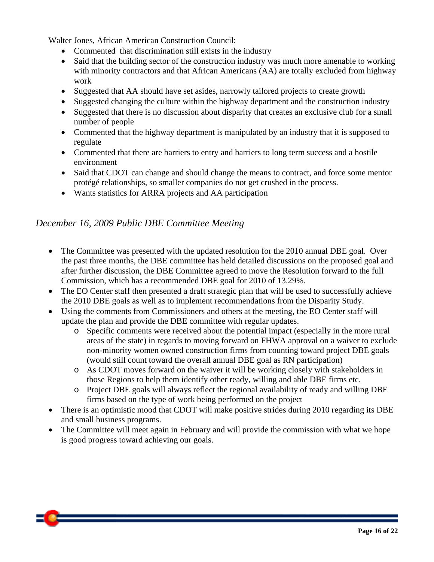Walter Jones, African American Construction Council:

- Commented that discrimination still exists in the industry
- Said that the building sector of the construction industry was much more amenable to working with minority contractors and that African Americans (AA) are totally excluded from highway work
- Suggested that AA should have set asides, narrowly tailored projects to create growth
- Suggested changing the culture within the highway department and the construction industry
- Suggested that there is no discussion about disparity that creates an exclusive club for a small number of people
- Commented that the highway department is manipulated by an industry that it is supposed to regulate
- Commented that there are barriers to entry and barriers to long term success and a hostile environment
- Said that CDOT can change and should change the means to contract, and force some mentor protégé relationships, so smaller companies do not get crushed in the process.
- Wants statistics for ARRA projects and AA participation

#### *December 16, 2009 Public DBE Committee Meeting*

- The Committee was presented with the updated resolution for the 2010 annual DBE goal. Over the past three months, the DBE committee has held detailed discussions on the proposed goal and after further discussion, the DBE Committee agreed to move the Resolution forward to the full Commission, which has a recommended DBE goal for 2010 of 13.29%.
- The EO Center staff then presented a draft strategic plan that will be used to successfully achieve the 2010 DBE goals as well as to implement recommendations from the Disparity Study.
- Using the comments from Commissioners and others at the meeting, the EO Center staff will update the plan and provide the DBE committee with regular updates.
	- o Specific comments were received about the potential impact (especially in the more rural areas of the state) in regards to moving forward on FHWA approval on a waiver to exclude non-minority women owned construction firms from counting toward project DBE goals (would still count toward the overall annual DBE goal as RN participation)
	- o As CDOT moves forward on the waiver it will be working closely with stakeholders in those Regions to help them identify other ready, willing and able DBE firms etc.
	- o Project DBE goals will always reflect the regional availability of ready and willing DBE firms based on the type of work being performed on the project
- There is an optimistic mood that CDOT will make positive strides during 2010 regarding its DBE and small business programs.
- The Committee will meet again in February and will provide the commission with what we hope is good progress toward achieving our goals.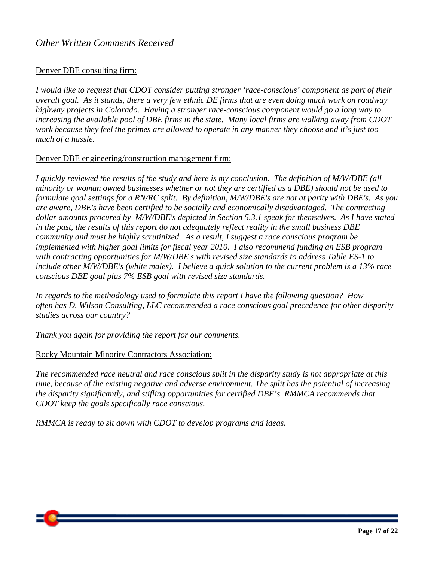#### Denver DBE consulting firm:

*I would like to request that CDOT consider putting stronger 'race-conscious' component as part of their overall goal. As it stands, there a very few ethnic DE firms that are even doing much work on roadway highway projects in Colorado. Having a stronger race-conscious component would go a long way to increasing the available pool of DBE firms in the state. Many local firms are walking away from CDOT work because they feel the primes are allowed to operate in any manner they choose and it's just too much of a hassle.* 

#### Denver DBE engineering/construction management firm:

*I quickly reviewed the results of the study and here is my conclusion. The definition of M/W/DBE (all minority or woman owned businesses whether or not they are certified as a DBE) should not be used to formulate goal settings for a RN/RC split. By definition, M/W/DBE's are not at parity with DBE's. As you are aware, DBE's have been certified to be socially and economically disadvantaged. The contracting dollar amounts procured by M/W/DBE's depicted in Section 5.3.1 speak for themselves. As I have stated in the past, the results of this report do not adequately reflect reality in the small business DBE community and must be highly scrutinized. As a result, I suggest a race conscious program be implemented with higher goal limits for fiscal year 2010. I also recommend funding an ESB program with contracting opportunities for M/W/DBE's with revised size standards to address Table ES-1 to include other M/W/DBE's (white males). I believe a quick solution to the current problem is a 13% race conscious DBE goal plus 7% ESB goal with revised size standards.* 

*In regards to the methodology used to formulate this report I have the following question? How often has D. Wilson Consulting, LLC recommended a race conscious goal precedence for other disparity studies across our country?* 

*Thank you again for providing the report for our comments.* 

#### Rocky Mountain Minority Contractors Association:

*The recommended race neutral and race conscious split in the disparity study is not appropriate at this time, because of the existing negative and adverse environment. The split has the potential of increasing the disparity significantly, and stifling opportunities for certified DBE's. RMMCA recommends that CDOT keep the goals specifically race conscious.* 

*RMMCA is ready to sit down with CDOT to develop programs and ideas.*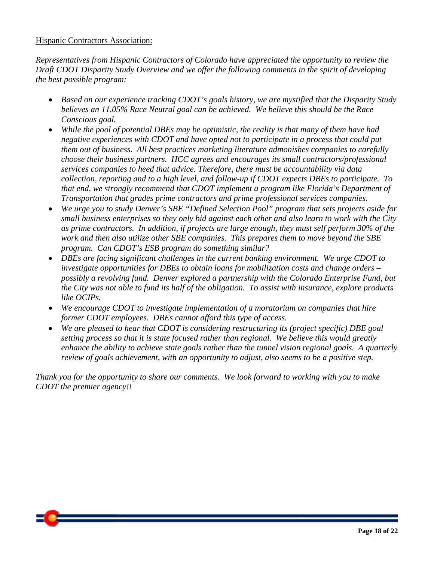#### Hispanic Contractors Association:

*Representatives from Hispanic Contractors of Colorado have appreciated the opportunity to review the Draft CDOT Disparity Study Overview and we offer the following comments in the spirit of developing the best possible program:* 

- *Based on our experience tracking CDOT's goals history, we are mystified that the Disparity Study believes an 11.05% Race Neutral goal can be achieved. We believe this should be the Race Conscious goal.*
- *While the pool of potential DBEs may be optimistic, the reality is that many of them have had negative experiences with CDOT and have opted not to participate in a process that could put them out of business. All best practices marketing literature admonishes companies to carefully choose their business partners. HCC agrees and encourages its small contractors/professional services companies to heed that advice. Therefore, there must be accountability via data collection, reporting and to a high level, and follow-up if CDOT expects DBEs to participate. To that end, we strongly recommend that CDOT implement a program like Florida's Department of Transportation that grades prime contractors and prime professional services companies.*
- *We urge you to study Denver's SBE "Defined Selection Pool" program that sets projects aside for small business enterprises so they only bid against each other and also learn to work with the City as prime contractors. In addition, if projects are large enough, they must self perform 30% of the work and then also utilize other SBE companies. This prepares them to move beyond the SBE program. Can CDOT's ESB program do something similar?*
- *DBEs are facing significant challenges in the current banking environment. We urge CDOT to investigate opportunities for DBEs to obtain loans for mobilization costs and change orders – possibly a revolving fund. Denver explored a partnership with the Colorado Enterprise Fund, but the City was not able to fund its half of the obligation. To assist with insurance, explore products like OCIPs.*
- *We encourage CDOT to investigate implementation of a moratorium on companies that hire former CDOT employees. DBEs cannot afford this type of access.*
- *We are pleased to hear that CDOT is considering restructuring its (project specific) DBE goal setting process so that it is state focused rather than regional. We believe this would greatly enhance the ability to achieve state goals rather than the tunnel vision regional goals. A quarterly review of goals achievement, with an opportunity to adjust, also seems to be a positive step.*

*Thank you for the opportunity to share our comments. We look forward to working with you to make CDOT the premier agency!!*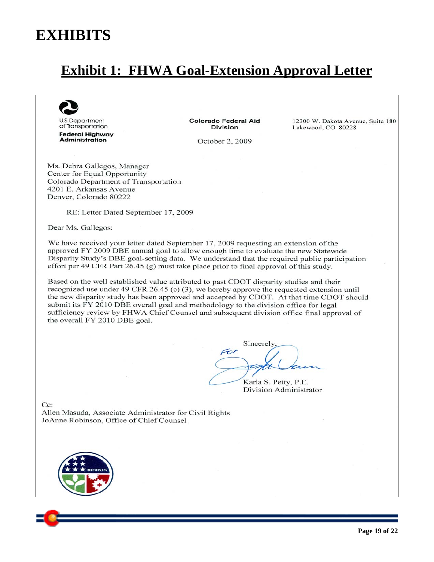## **EXHIBITS**

## **Exhibit 1: FHWA Goal-Extension Approval Letter**



**U.S. Department** of Transportation **Federal Highway Administration** 

**Colorado Federal Aid Division** 

October 2, 2009

12300 W. Dakota Avenue, Suite 180 Lakewood, CO 80228

Ms. Debra Gallegos, Manager Center for Equal Opportunity Colorado Department of Transportation 4201 E. Arkansas Avenue Denver, Colorado 80222

RE: Letter Dated September 17, 2009

Dear Ms. Gallegos:

We have received your letter dated September 17, 2009 requesting an extension of the approved FY 2009 DBE annual goal to allow enough time to evaluate the new Statewide Disparity Study's DBE goal-setting data. We understand that the required public participation effort per 49 CFR Part 26.45 (g) must take place prior to final approval of this study.

Based on the well established value attributed to past CDOT disparity studies and their recognized use under 49 CFR 26.45 (c) (3), we hereby approve the requested extension until the new disparity study has been approved and accepted by CDOT. At that time CDOT should submit its FY 2010 DBE overall goal and methodology to the division office for legal sufficiency review by FHWA Chief Counsel and subsequent division office final approval of the overall FY 2010 DBE goal.

Sincerely For

Karla S. Petty, P.E. Division Administrator

 $Cc$ Allen Masuda, Associate Administrator for Civil Rights JoAnne Robinson, Office of Chief Counsel

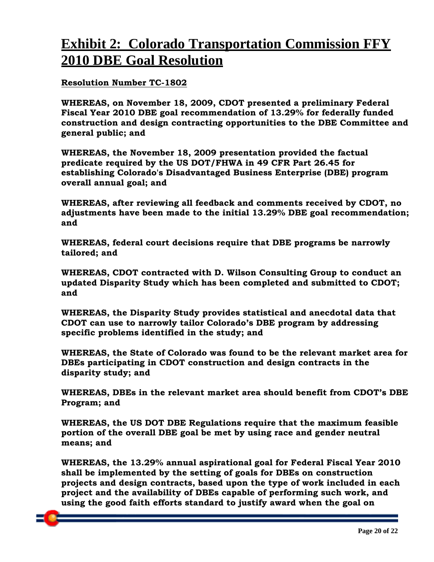## **Exhibit 2: Colorado Transportation Commission FFY 2010 DBE Goal Resolution**

#### **Resolution Number TC-1802**

**WHEREAS, on November 18, 2009, CDOT presented a preliminary Federal Fiscal Year 2010 DBE goal recommendation of 13.29% for federally funded construction and design contracting opportunities to the DBE Committee and general public; and** 

**WHEREAS, the November 18, 2009 presentation provided the factual predicate required by the US DOT/FHWA in 49 CFR Part 26.45 for establishing Colorado's Disadvantaged Business Enterprise (DBE) program overall annual goal; and** 

**WHEREAS, after reviewing all feedback and comments received by CDOT, no adjustments have been made to the initial 13.29% DBE goal recommendation; and** 

**WHEREAS, federal court decisions require that DBE programs be narrowly tailored; and** 

**WHEREAS, CDOT contracted with D. Wilson Consulting Group to conduct an updated Disparity Study which has been completed and submitted to CDOT; and** 

**WHEREAS, the Disparity Study provides statistical and anecdotal data that CDOT can use to narrowly tailor Colorado's DBE program by addressing specific problems identified in the study; and** 

**WHEREAS, the State of Colorado was found to be the relevant market area for DBEs participating in CDOT construction and design contracts in the disparity study; and** 

**WHEREAS, DBEs in the relevant market area should benefit from CDOT's DBE Program; and** 

**WHEREAS, the US DOT DBE Regulations require that the maximum feasible portion of the overall DBE goal be met by using race and gender neutral means; and** 

**WHEREAS, the 13.29% annual aspirational goal for Federal Fiscal Year 2010 shall be implemented by the setting of goals for DBEs on construction projects and design contracts, based upon the type of work included in each project and the availability of DBEs capable of performing such work, and using the good faith efforts standard to justify award when the goal on**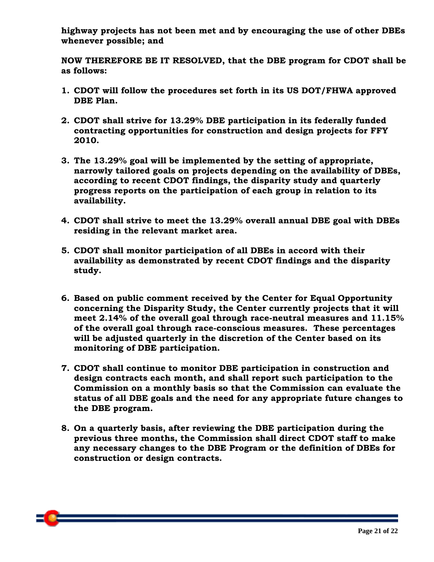**highway projects has not been met and by encouraging the use of other DBEs whenever possible; and** 

**NOW THEREFORE BE IT RESOLVED, that the DBE program for CDOT shall be as follows:** 

- **1. CDOT will follow the procedures set forth in its US DOT/FHWA approved DBE Plan.**
- **2. CDOT shall strive for 13.29% DBE participation in its federally funded contracting opportunities for construction and design projects for FFY 2010.**
- **3. The 13.29% goal will be implemented by the setting of appropriate, narrowly tailored goals on projects depending on the availability of DBEs, according to recent CDOT findings, the disparity study and quarterly progress reports on the participation of each group in relation to its availability.**
- **4. CDOT shall strive to meet the 13.29% overall annual DBE goal with DBEs residing in the relevant market area.**
- **5. CDOT shall monitor participation of all DBEs in accord with their availability as demonstrated by recent CDOT findings and the disparity study.**
- **6. Based on public comment received by the Center for Equal Opportunity concerning the Disparity Study, the Center currently projects that it will meet 2.14% of the overall goal through race-neutral measures and 11.15% of the overall goal through race-conscious measures. These percentages will be adjusted quarterly in the discretion of the Center based on its monitoring of DBE participation.**
- **7. CDOT shall continue to monitor DBE participation in construction and design contracts each month, and shall report such participation to the Commission on a monthly basis so that the Commission can evaluate the status of all DBE goals and the need for any appropriate future changes to the DBE program.**
- **8. On a quarterly basis, after reviewing the DBE participation during the previous three months, the Commission shall direct CDOT staff to make any necessary changes to the DBE Program or the definition of DBEs for construction or design contracts.**